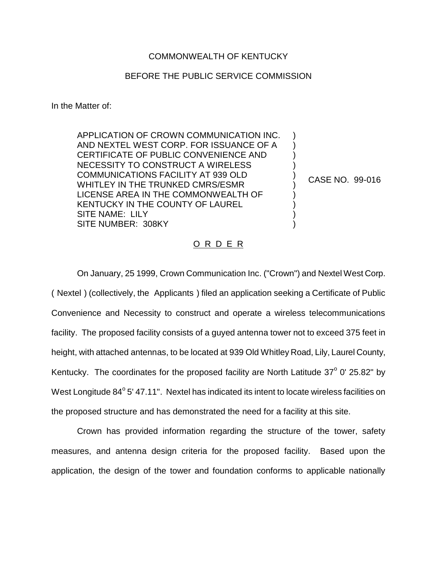## COMMONWEALTH OF KENTUCKY

## BEFORE THE PUBLIC SERVICE COMMISSION

In the Matter of:

APPLICATION OF CROWN COMMUNICATION INC. AND NEXTEL WEST CORP. FOR ISSUANCE OF A CERTIFICATE OF PUBLIC CONVENIENCE AND NECESSITY TO CONSTRUCT A WIRELESS COMMUNICATIONS FACILITY AT 939 OLD WHITLEY IN THE TRUNKED CMRS/ESMR LICENSE AREA IN THE COMMONWEALTH OF KENTUCKY IN THE COUNTY OF LAUREL SITE NAME: LILY SITE NUMBER: 308KY

CASE NO. 99-016

) ) ) ) ) ) ) ) ) )

## O R D E R

On January, 25 1999, Crown Communication Inc. ("Crown") and Nextel West Corp. ( Nextel ) (collectively, the Applicants ) filed an application seeking a Certificate of Public Convenience and Necessity to construct and operate a wireless telecommunications facility. The proposed facility consists of a guyed antenna tower not to exceed 375 feet in height, with attached antennas, to be located at 939 Old Whitley Road, Lily, Laurel County, Kentucky. The coordinates for the proposed facility are North Latitude  $37^{\circ}$  0' 25.82" by West Longitude  $84^{\circ}$  5' 47.11". Nextel has indicated its intent to locate wireless facilities on the proposed structure and has demonstrated the need for a facility at this site.

Crown has provided information regarding the structure of the tower, safety measures, and antenna design criteria for the proposed facility. Based upon the application, the design of the tower and foundation conforms to applicable nationally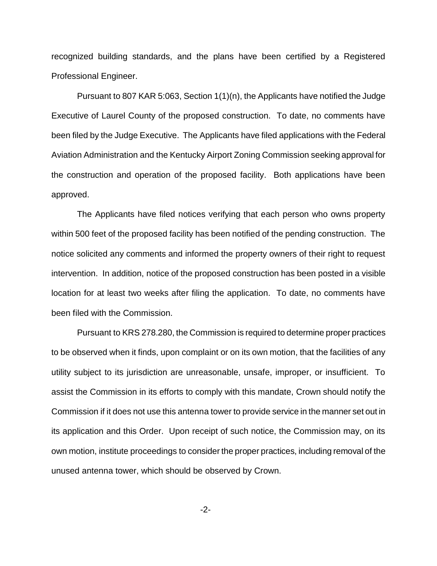recognized building standards, and the plans have been certified by a Registered Professional Engineer.

Pursuant to 807 KAR 5:063, Section 1(1)(n), the Applicants have notified the Judge Executive of Laurel County of the proposed construction. To date, no comments have been filed by the Judge Executive. The Applicants have filed applications with the Federal Aviation Administration and the Kentucky Airport Zoning Commission seeking approval for the construction and operation of the proposed facility. Both applications have been approved.

The Applicants have filed notices verifying that each person who owns property within 500 feet of the proposed facility has been notified of the pending construction. The notice solicited any comments and informed the property owners of their right to request intervention. In addition, notice of the proposed construction has been posted in a visible location for at least two weeks after filing the application. To date, no comments have been filed with the Commission.

Pursuant to KRS 278.280, the Commission is required to determine proper practices to be observed when it finds, upon complaint or on its own motion, that the facilities of any utility subject to its jurisdiction are unreasonable, unsafe, improper, or insufficient. To assist the Commission in its efforts to comply with this mandate, Crown should notify the Commission if it does not use this antenna tower to provide service in the manner set out in its application and this Order. Upon receipt of such notice, the Commission may, on its own motion, institute proceedings to consider the proper practices, including removal of the unused antenna tower, which should be observed by Crown.

-2-